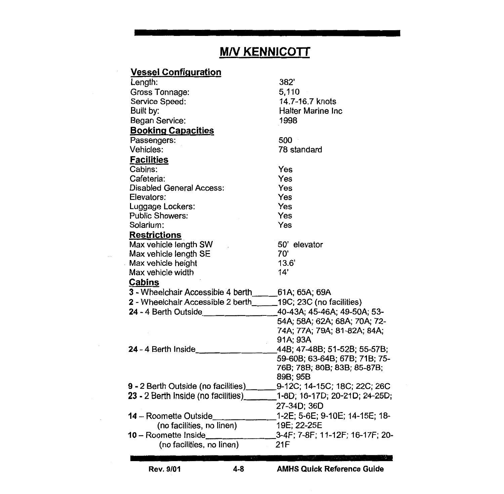## **M/V KENNICOTT**

| <b>Vessel Configuration</b>                                    |                                 |
|----------------------------------------------------------------|---------------------------------|
| Length:                                                        | 382'                            |
| Gross Tonnage:                                                 | 5,110                           |
| Service Speed:                                                 | 14.7-16.7 knots                 |
| Built by:                                                      | <b>Halter Marine Inc.</b>       |
| Began Service:                                                 | 1998                            |
| <b>Booking Capacities</b>                                      |                                 |
| Passengers:                                                    | 500                             |
| Vehicles:                                                      | 78 standard                     |
| <b>Facilities</b>                                              |                                 |
| Cabins:                                                        | Yes                             |
| Cafeteria:                                                     | Yes                             |
| <b>Disabled General Access:</b>                                | Yes                             |
| Elevators:                                                     | Yes                             |
| Luggage Lockers:                                               | Yes                             |
| <b>Public Showers:</b>                                         | Yes                             |
| Solarium:                                                      | Yes                             |
| <b>Restrictions</b>                                            |                                 |
| Max vehicle length SW                                          | 50' elevator                    |
| Max vehicle length SE                                          | 70'                             |
| Max vehicle height                                             | 13.6'                           |
| Max vehicle width                                              | 14'                             |
| <b>Cabins</b>                                                  |                                 |
| 3 - Wheelchair Accessible 4 berth_______61A; 65A; 69A          |                                 |
| 2 - Wheelchair Accessible 2 berth_____19C; 23C (no facilities) |                                 |
| 24 - 4 Berth Outside                                           | 40-43A; 45-46A; 49-50A; 53-     |
|                                                                | 54A; 58A; 62A; 68A; 70A; 72-    |
|                                                                | 74A; 77A; 79A; 81-82A; 84A;     |
|                                                                | 91A; 93A                        |
| 24 - 4 Berth Inside                                            | 44B; 47-48B; 51-52B; 55-57B;    |
|                                                                | 59-60B; 63-64B; 67B; 71B; 75-   |
|                                                                | 76B; 78B; 80B; 83B; 85-87B;     |
|                                                                | 89B; 95B                        |
| 9 - 2 Berth Outside (no facilities)                            | 9-12C; 14-15C; 18C; 22C; 26C    |
| 23 - 2 Berth Inside (no facilities)                            | 1-8D; 16-17D; 20-21D; 24-25D;   |
|                                                                | 27-34D; 36D                     |
| 14 - Roomette Outside                                          | 1-2E; 5-6E; 9-10E; 14-15E; 18-  |
| (no facilities, no linen)                                      | 19E; 22-25E                     |
| 10 - Roomette Inside                                           | 3-4F; 7-8F; 11-12F; 16-17F; 20- |
| (no facilities, no linen)                                      | 21F                             |
|                                                                |                                 |

Rev. 9/01 4-8 AMHS Quick Reference Guide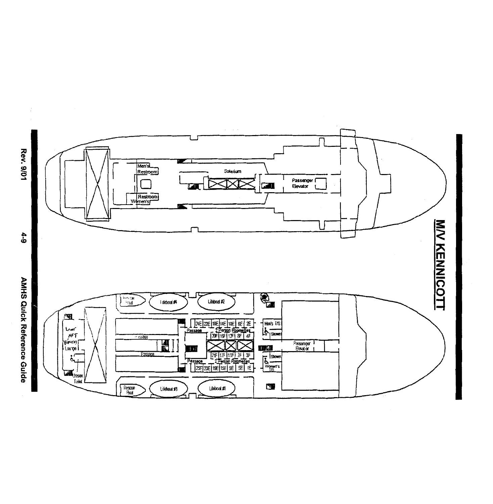

Rev. 9/01

**AMHS Quick Reference Guide**